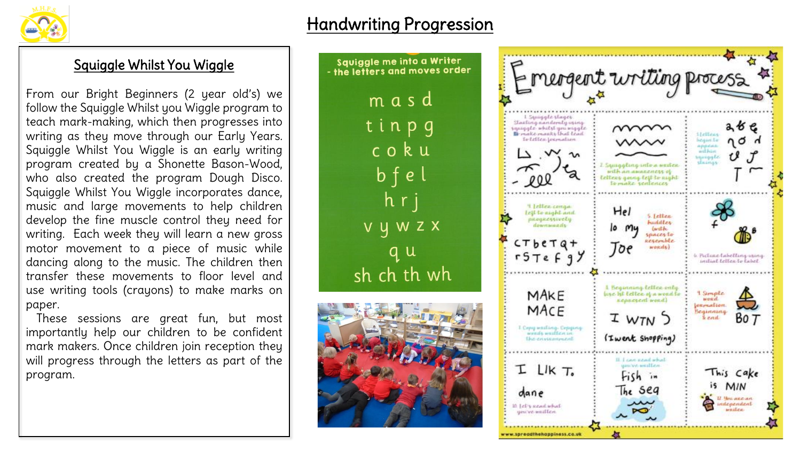

## Handwriting Progression

## Squiggle Whilst You Wiggle

From our Bright Beginners (2 year old's) we follow the Squiggle Whilst you Wiggle program to teach mark-making, which then progresses into writing as they move through our Early Years. Squiggle Whilst You Wiggle is an early writing program created by a Shonette Bason-Wood, who also created the program Dough Disco. Squiggle Whilst You Wiggle incorporates dance, music and large movements to help children develop the fine muscle control they need for writing. Each week they will learn a new gross motor movement to a piece of music while dancing along to the music. The children then transfer these movements to floor level and use writing tools (crayons) to make marks on paper.

These sessions are great fun, but most importantly help our children to be confident mark makers. Once children join reception they will progress through the letters as part of the program.



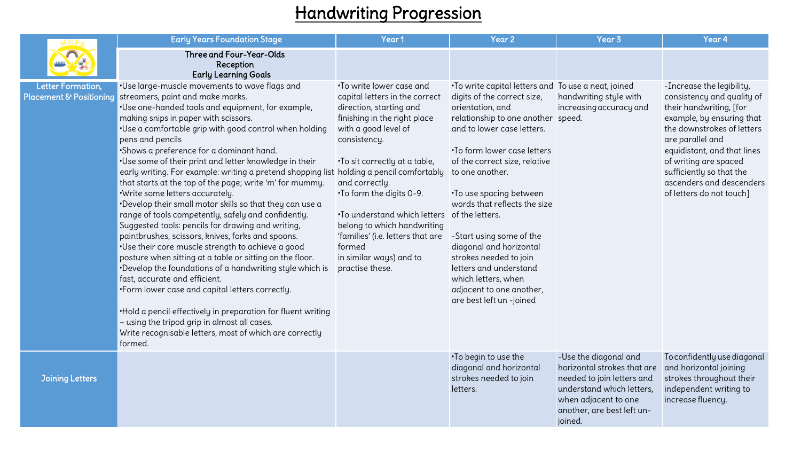## Handwriting Progression

|                                              | <b>Early Years Foundation Stage</b>                                                                                                                                                                                                                                                                                                                                                                                                                                                                                                                                                                                                                                                                                                                                                                                                                                                                                                                                                                                                                                                                                                                                                                                   | Year1                                                                                                                                                                                                                                                                                                                                                                                                                                      | Year 2                                                                                                                                                                                                                                                                                                                                                                                                                                                                                                                                   | Year <sub>3</sub>                                                                                                                                                                | Year 4                                                                                                                                                                                                                                                                                                        |
|----------------------------------------------|-----------------------------------------------------------------------------------------------------------------------------------------------------------------------------------------------------------------------------------------------------------------------------------------------------------------------------------------------------------------------------------------------------------------------------------------------------------------------------------------------------------------------------------------------------------------------------------------------------------------------------------------------------------------------------------------------------------------------------------------------------------------------------------------------------------------------------------------------------------------------------------------------------------------------------------------------------------------------------------------------------------------------------------------------------------------------------------------------------------------------------------------------------------------------------------------------------------------------|--------------------------------------------------------------------------------------------------------------------------------------------------------------------------------------------------------------------------------------------------------------------------------------------------------------------------------------------------------------------------------------------------------------------------------------------|------------------------------------------------------------------------------------------------------------------------------------------------------------------------------------------------------------------------------------------------------------------------------------------------------------------------------------------------------------------------------------------------------------------------------------------------------------------------------------------------------------------------------------------|----------------------------------------------------------------------------------------------------------------------------------------------------------------------------------|---------------------------------------------------------------------------------------------------------------------------------------------------------------------------------------------------------------------------------------------------------------------------------------------------------------|
|                                              | <b>Three and Four-Year-Olds</b><br>Reception<br><b>Early Learning Goals</b>                                                                                                                                                                                                                                                                                                                                                                                                                                                                                                                                                                                                                                                                                                                                                                                                                                                                                                                                                                                                                                                                                                                                           |                                                                                                                                                                                                                                                                                                                                                                                                                                            |                                                                                                                                                                                                                                                                                                                                                                                                                                                                                                                                          |                                                                                                                                                                                  |                                                                                                                                                                                                                                                                                                               |
| Letter Formation,<br>Placement & Positioning | .Use large-muscle movements to wave flags and<br>streamers, paint and make marks.<br>.Use one-handed tools and equipment, for example,<br>making snips in paper with scissors.<br>.Use a comfortable grip with good control when holding<br>pens and pencils<br>·Shows a preference for a dominant hand.<br>.Use some of their print and letter knowledge in their<br>early writing. For example: writing a pretend shopping list<br>that starts at the top of the page; write 'm' for mummy.<br>·Write some letters accurately.<br>.Develop their small motor skills so that they can use a<br>range of tools competently, safely and confidently.<br>Suggested tools: pencils for drawing and writing,<br>paintbrushes, scissors, knives, forks and spoons.<br>.Use their core muscle strength to achieve a good<br>posture when sitting at a table or sitting on the floor.<br>.Develop the foundations of a handwriting style which is<br>fast, accurate and efficient.<br>.Form lower case and capital letters correctly.<br>. Hold a pencil effectively in preparation for fluent writing<br>- using the tripod grip in almost all cases.<br>Write recognisable letters, most of which are correctly<br>formed. | .To write lower case and<br>capital letters in the correct<br>direction, starting and<br>finishing in the right place<br>with a good level of<br>consistency.<br>. To sit correctly at a table,<br>holding a pencil comfortably<br>and correctly.<br>.To form the digits 0-9.<br>. To understand which letters<br>belong to which handwriting<br>'families' (i.e. letters that are<br>formed<br>in similar ways) and to<br>practise these. | . To write capital letters and To use a neat, joined<br>digits of the correct size,<br>orientation, and<br>relationship to one another speed.<br>and to lower case letters.<br>. To form lower case letters<br>of the correct size, relative<br>to one another.<br>. To use spacing between<br>words that reflects the size<br>of the letters.<br>-Start using some of the<br>diagonal and horizontal<br>strokes needed to join<br>letters and understand<br>which letters, when<br>adjacent to one another,<br>are best left un -joined | handwriting style with<br>increasing accuracy and                                                                                                                                | -Increase the legibility,<br>consistency and quality of<br>their handwriting, [for<br>example, by ensuring that<br>the downstrokes of letters<br>are parallel and<br>equidistant, and that lines<br>of writing are spaced<br>sufficiently so that the<br>ascenders and descenders<br>of letters do not touch] |
| <b>Joining Letters</b>                       |                                                                                                                                                                                                                                                                                                                                                                                                                                                                                                                                                                                                                                                                                                                                                                                                                                                                                                                                                                                                                                                                                                                                                                                                                       |                                                                                                                                                                                                                                                                                                                                                                                                                                            | . To begin to use the<br>diagonal and horizontal<br>strokes needed to join<br>letters.                                                                                                                                                                                                                                                                                                                                                                                                                                                   | -Use the diagonal and<br>horizontal strokes that are<br>needed to join letters and<br>understand which letters,<br>when adjacent to one<br>another, are best left un-<br>joined. | To confidently use diagonal<br>and horizontal joining<br>strokes throughout their<br>independent writing to<br>increase fluency.                                                                                                                                                                              |